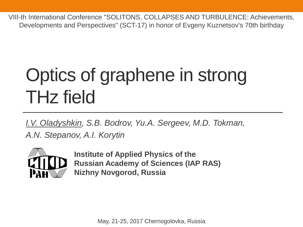VIII-th International Conference "SOLITONS, COLLAPSES AND TURBULENCE: Achievements, Developments and Perspectives" (SCT-17) in honor of Evgeny Kuznetsov's 70th birthday

# Optics of graphene in strong THz field

*I.V. Oladyshkin, S.B. Bodrov, Yu.A. Sergeev, M.D. Tokman, A.N. Stepanov, A.I. Korytin*



**Institute of Applied Physics of the Russian Academy of Sciences (IAP RAS) Nizhny Novgorod, Russia**

May, 21-25, 2017 Chernogolovka, Russia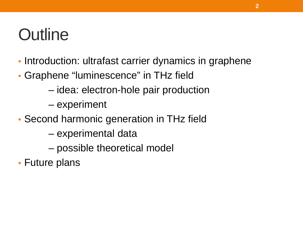# **Outline**

- Introduction: ultrafast carrier dynamics in graphene
- Graphene "luminescence" in THz field
	- idea: electron-hole pair production
	- experiment
- Second harmonic generation in THz field
	- experimental data
	- possible theoretical model
- Future plans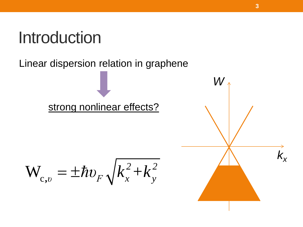Linear dispersion relation in graphene

### strong nonlinear effects?

$$
\mathbf{W}_{c,v} = \pm \hbar v_F \sqrt{k_x^2 + k_y^2}
$$

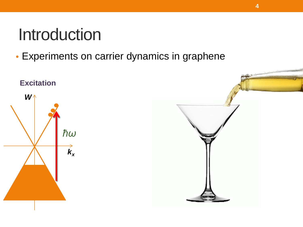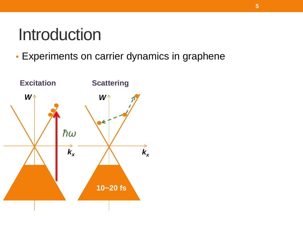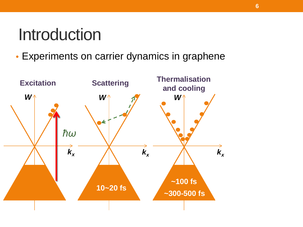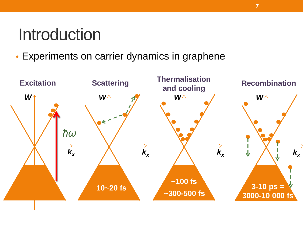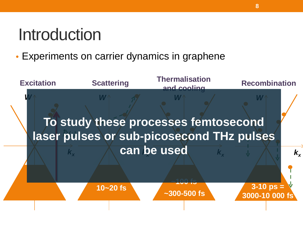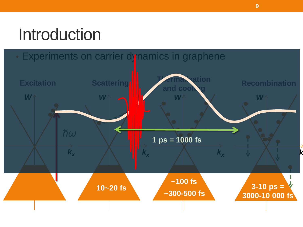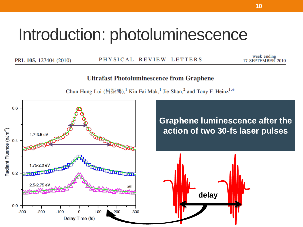### Introduction: photoluminescence

PRL 105, 127404 (2010)

PHYSICAL REVIEW LETTERS

week ending 17 SEPTEMBER 2010

#### **Ultrafast Photoluminescence from Graphene**

Chun Hung Lui (呂振鴻), <sup>1</sup> Kin Fai Mak, <sup>1</sup> Jie Shan, <sup>2</sup> and Tony F. Heinz<sup>1,\*</sup>

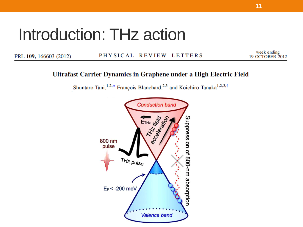# Introduction: THz action

PRL 109, 166603 (2012)

#### PHYSICAL REVIEW LETTERS

week ending<br>19 OCTOBER 2012

#### Ultrafast Carrier Dynamics in Graphene under a High Electric Field

Shuntaro Tani, 1,2,\* François Blanchard, <sup>2,3</sup> and Koichiro Tanaka<sup>1,2,3,†</sup>

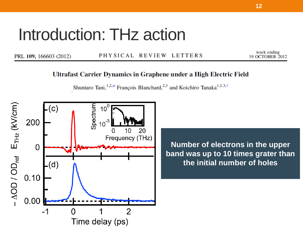# Introduction: THz action

PRL 109, 166603 (2012)

PHYSICAL REVIEW LETTERS

week ending 19 OCTOBER 2012

#### Ultrafast Carrier Dynamics in Graphene under a High Electric Field

Shuntaro Tani, <sup>1,2,\*</sup> François Blanchard,<sup>2,3</sup> and Koichiro Tanaka<sup>1,2,3,†</sup>

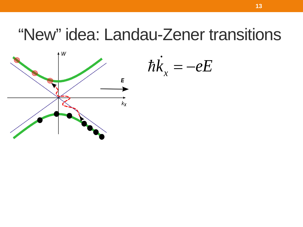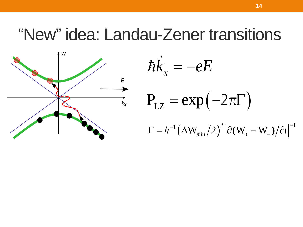

$$
\hbar \dot{K}_x = -eE
$$
  
\n
$$
P_{LZ} = \exp(-2\pi \Gamma)
$$
  
\n
$$
\Gamma = \hbar^{-1} (\Delta W_{min}/2)^2 |\partial (W_{+} - W_{-})/\partial t|^{-1}
$$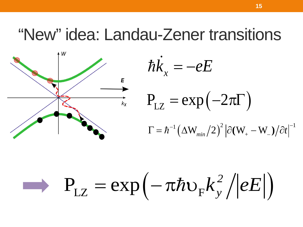

$$
\hbar \dot{K}_x = -eE
$$
  
\n
$$
P_{LZ} = \exp(-2\pi \Gamma)
$$
  
\n
$$
\Gamma = \hbar^{-1} (\Delta W_{min}/2)^2 |\partial (W_{+} - W_{-})/\partial t|^{-1}
$$

$$
\longrightarrow P_{LZ} = \exp(-\pi \hbar v_F k_y^2/|eE|)
$$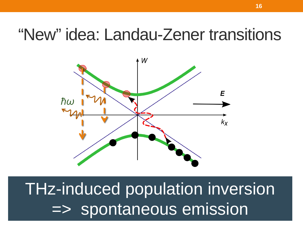

THz-induced population inversion => spontaneous emission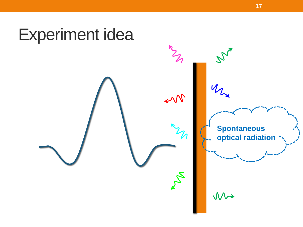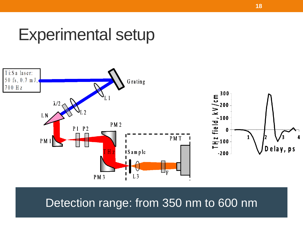### Experimental setup



### Detection range: from 350 nm to 600 nm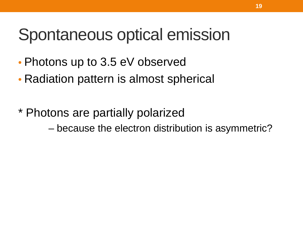### Spontaneous optical emission

- Photons up to 3.5 eV observed
- Radiation pattern is almost spherical
- \* Photons are partially polarized – because the electron distribution is asymmetric?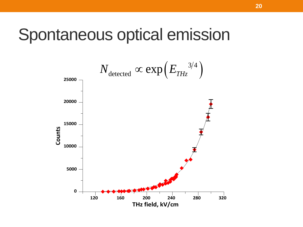### Spontaneous optical emission

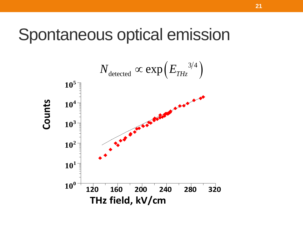### Spontaneous optical emission

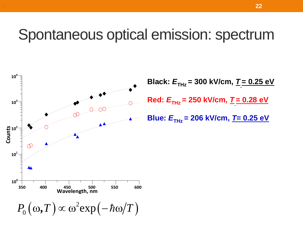### Spontaneous optical emission: spectrum

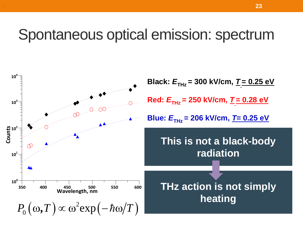### Spontaneous optical emission: spectrum

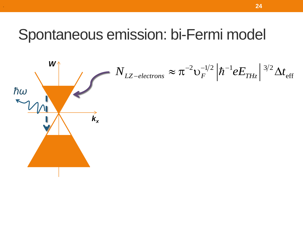### Spontaneous emission: bi-Fermi model

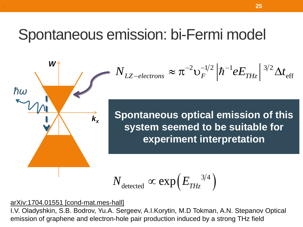### Spontaneous emission: bi-Fermi model



.

$$
N_{LZ-electrons} \approx \pi^{-2} v_F^{-1/2} \left| \hbar^{-1} e E_{THz} \right|^{3/2} \Delta t_{\text{eff}}
$$

*kx* **Spontaneous optical emission of this system seemed to be suitable for experiment interpretation**

$$
N_{\rm detected} \propto \exp\!\left(E_{\rm \scriptscriptstyle THz}^{\rm -3/4}\right)
$$

arXiv:1704.01551 [cond-mat.mes-hall]

I.V. Oladyshkin, S.B. Bodrov, Yu.A. Sergeev, A.I.Korytin, M.D Tokman, A.N. Stepanov Optical emission of graphene and electron-hole pair production induced by a strong THz field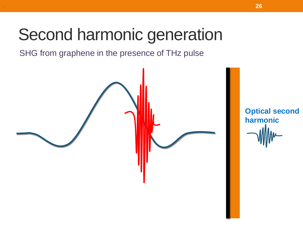SHG from graphene in the presence of THz pulse



**Optical second harmonic**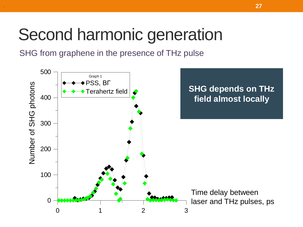SHG from graphene in the presence of THz pulse

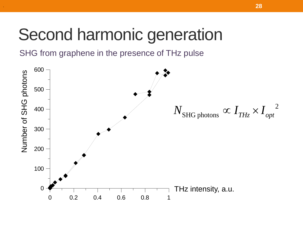SHG from graphene in the presence of THz pulse

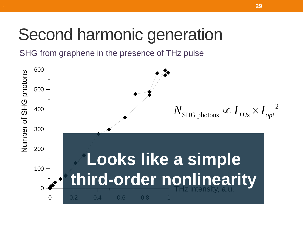SHG from graphene in the presence of THz pulse

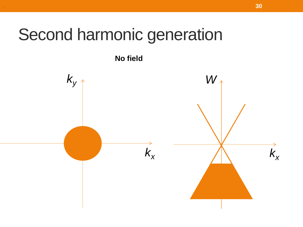**No field** 

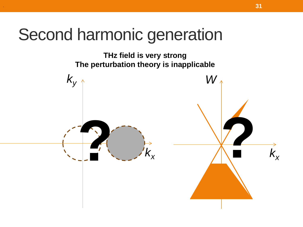THz field is very strong The perturbation theory is inapplicable

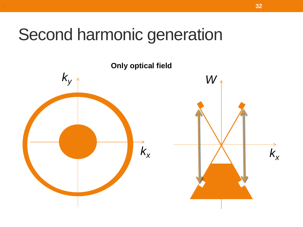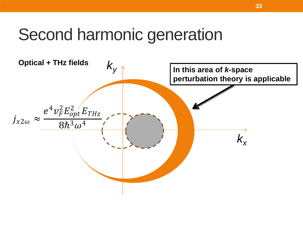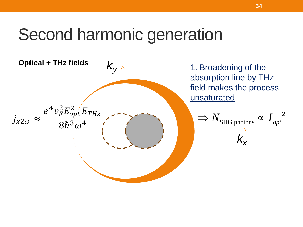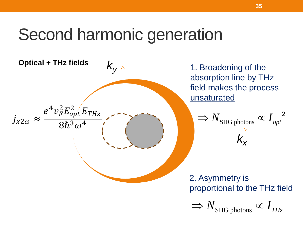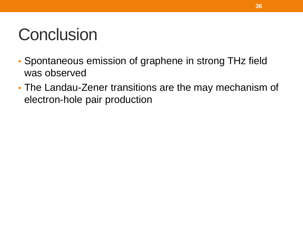# **Conclusion**

- Spontaneous emission of graphene in strong THz field was observed
- The Landau-Zener transitions are the may mechanism of electron-hole pair production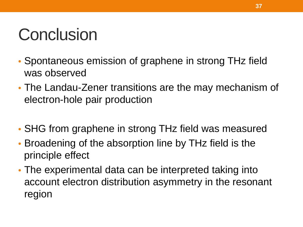# **Conclusion**

- Spontaneous emission of graphene in strong THz field was observed
- The Landau-Zener transitions are the may mechanism of electron-hole pair production
- SHG from graphene in strong THz field was measured
- Broadening of the absorption line by THz field is the principle effect
- The experimental data can be interpreted taking into account electron distribution asymmetry in the resonant region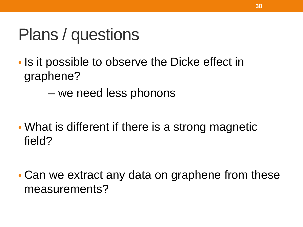### Plans / questions

- Is it possible to observe the Dicke effect in graphene?
	- we need less phonons
- What is different if there is a strong magnetic field?
- Can we extract any data on graphene from these measurements?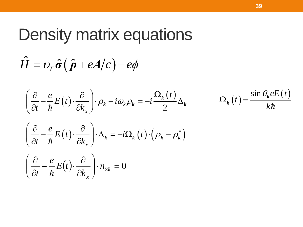### Density matrix equations

$$
\hat{H} = v_F \hat{\sigma} (\hat{p} + eA/c) - e\phi
$$

$$
\left(\frac{\partial}{\partial t} - \frac{e}{\hbar}E(t) \cdot \frac{\partial}{\partial k_x}\right) \cdot \rho_k + i\omega_k \rho_k = -i\frac{\Omega_k(t)}{2} \Delta_k \qquad \qquad \Omega_k(t) = \frac{\sin \theta_k eE(t)}{k\hbar}
$$

$$
\left(\frac{\partial}{\partial t} - \frac{e}{\hbar} E(t) \cdot \frac{\partial}{\partial k_x}\right) \cdot \Delta_k = -i\Omega_k(t) \cdot \left(\rho_k - \rho_k^*\right)
$$

$$
\left(\frac{\partial}{\partial t} - \frac{e}{\hbar}E(t) \cdot \frac{\partial}{\partial k_x}\right) \cdot n_{\Sigma k} = 0
$$